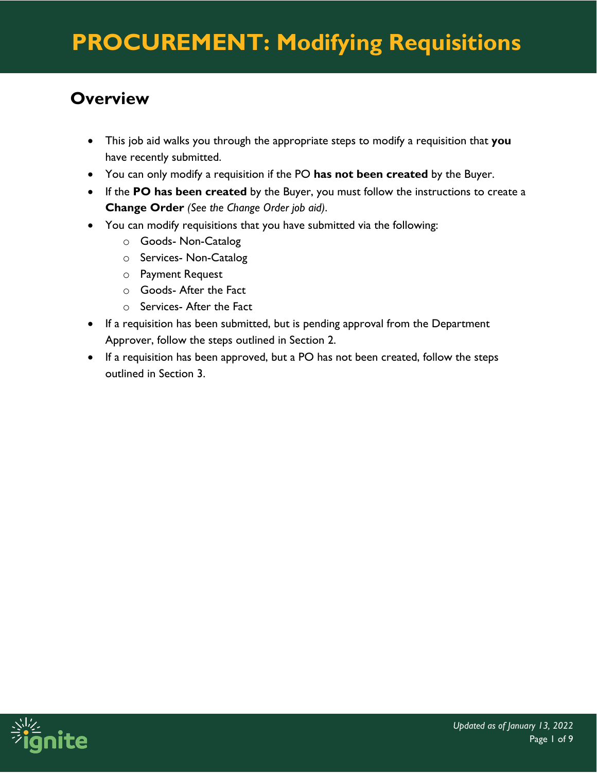#### **Overview**

- This job aid walks you through the appropriate steps to modify a requisition that **you** have recently submitted.
- You can only modify a requisition if the PO **has not been created** by the Buyer.
- If the **PO has been created** by the Buyer, you must follow the instructions to create a **Change Order** *(See the Change Order job aid)*.
- You can modify requisitions that you have submitted via the following:
	- o Goods- Non-Catalog
	- o Services- Non-Catalog
	- o Payment Request
	- o Goods- After the Fact
	- o Services- After the Fact
- If a requisition has been submitted, but is pending approval from the Department Approver, follow the steps outlined in Section 2.
- If a requisition has been approved, but a PO has not been created, follow the steps outlined in Section 3.

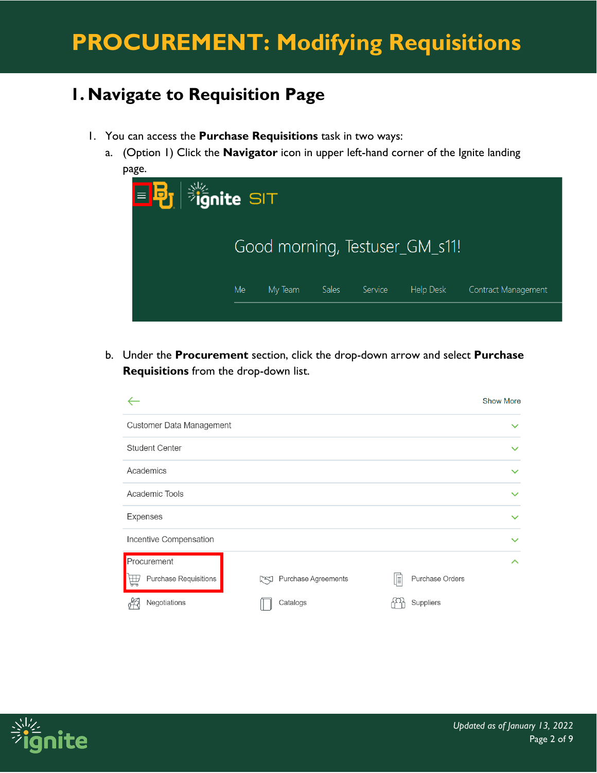#### **1. Navigate to Requisition Page**

- 1. You can access the **Purchase Requisitions** task in two ways:
	- a. (Option 1) Click the **Navigator** icon in upper left-hand corner of the Ignite landing page.



b. Under the **Procurement** section, click the drop-down arrow and select **Purchase Requisitions** from the drop-down list.



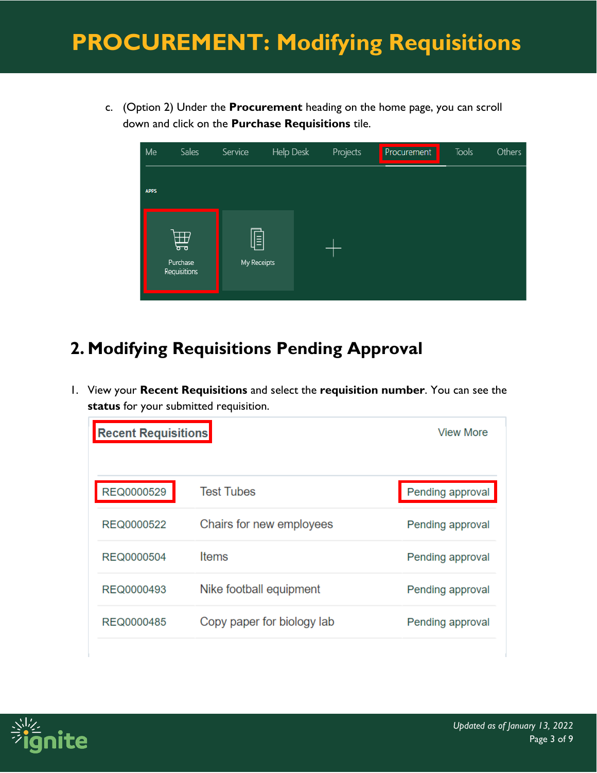c. (Option 2) Under the **Procurement** heading on the home page, you can scroll down and click on the **Purchase Requisitions** tile.

| Me          | Sales                         | Service          | Help Desk | Projects | Procurement | Tools | Others |
|-------------|-------------------------------|------------------|-----------|----------|-------------|-------|--------|
| <b>APPS</b> |                               |                  |           |          |             |       |        |
|             | 曲<br>Purchase<br>Requisitions | E<br>My Receipts |           |          |             |       |        |

### **2. Modifying Requisitions Pending Approval**

1. View your **Recent Requisitions** and select the **requisition number**. You can see the **status** for your submitted requisition.

| <b>Recent Requisitions</b> |                            | View More        |
|----------------------------|----------------------------|------------------|
| REQ0000529                 | <b>Test Tubes</b>          | Pending approval |
| REQ0000522                 | Chairs for new employees   | Pending approval |
| <b>REQ0000504</b>          | <b>Items</b>               | Pending approval |
| REQ0000493                 | Nike football equipment    | Pending approval |
| REQ0000485                 | Copy paper for biology lab | Pending approval |

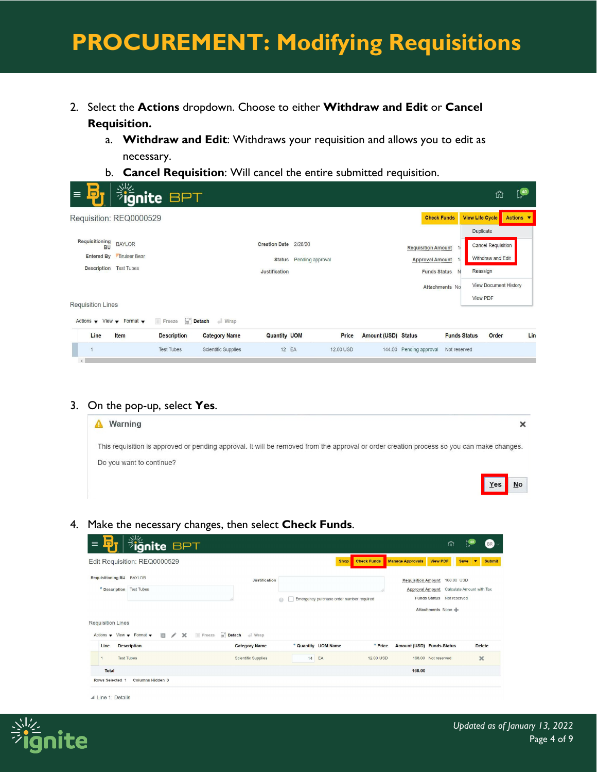- 2. Select the **Actions** dropdown. Choose to either **Withdraw and Edit** or **Cancel Requisition.**
	- a. **Withdraw and Edit**: Withdraws your requisition and allows you to edit as necessary.
	- b. **Cancel Requisition**: Will cancel the entire submitted requisition.

| $\blacksquare$<br>D<br>$\equiv$                                                               | $\frac{1}{2}$ ignite BPT                                  |                                                       |                                               |                         |           |                            |                                                                            |                     |                                                                                                               | ñ     | 240       |
|-----------------------------------------------------------------------------------------------|-----------------------------------------------------------|-------------------------------------------------------|-----------------------------------------------|-------------------------|-----------|----------------------------|----------------------------------------------------------------------------|---------------------|---------------------------------------------------------------------------------------------------------------|-------|-----------|
| Requisition: REQ0000529                                                                       |                                                           |                                                       |                                               |                         |           |                            | <b>Check Funds</b>                                                         |                     | <b>View Life Cycle</b><br><b>Duplicate</b>                                                                    |       | Actions ▼ |
| Requisitioning<br><b>BU</b><br><b>Entered By</b><br><b>Description</b>                        | <b>BAYLOR</b><br><b>Bruiser Bear</b><br><b>Test Tubes</b> |                                                       | Creation Date 2/26/20<br><b>Justification</b> | Status Pending approval |           |                            | <b>Requisition Amount</b><br><b>Approval Amount</b><br><b>Funds Status</b> | N<br>Attachments No | <b>Cancel Requisition</b><br>Withdraw and Edit<br>Reassign<br><b>View Document History</b><br><b>View PDF</b> |       |           |
| <b>Requisition Lines</b><br>Actions $\bullet$ View $\bullet$ Format $\bullet$<br>Item<br>Line | Freeze<br><b>Description</b>                              | Detach<br>$\blacksquare$ Wrap<br><b>Category Name</b> | <b>Quantity UOM</b>                           |                         | Price     | <b>Amount (USD) Status</b> |                                                                            | <b>Funds Status</b> |                                                                                                               | Order | Lin       |
|                                                                                               | <b>Test Tubes</b>                                         | Scientific Supplies                                   | 12 EA                                         |                         | 12.00 USD |                            | 144.00 Pending approval                                                    | Not reserved        |                                                                                                               |       |           |

#### 3. On the pop-up, select **Yes**.

| Warning                                                                                                                                   |           |
|-------------------------------------------------------------------------------------------------------------------------------------------|-----------|
| This requisition is approved or pending approval. It will be removed from the approval or order creation process so you can make changes. |           |
| Do you want to continue?                                                                                                                  |           |
|                                                                                                                                           | <b>No</b> |

4. Make the necessary changes, then select **Check Funds**.

|                                                                                       | <b>BE</b><br><b>BEAR</b><br>Edit Requisition: REQ0000529 |                                             | <b>Shop</b>                              | <b>Check Funds</b> | <b>Manage Approvals</b>   | <b>View PDF</b>                                                                      | <b>Save</b><br>$\overline{\phantom{a}}$ | <b>Submit</b> |
|---------------------------------------------------------------------------------------|----------------------------------------------------------|---------------------------------------------|------------------------------------------|--------------------|---------------------------|--------------------------------------------------------------------------------------|-----------------------------------------|---------------|
| Requisitioning BU BAYLOR<br>* Description Test Tubes                                  |                                                          | Justification                               | Emergency purchase order number required |                    | <b>Requisition Amount</b> | 168,00 USD<br>Approval Amount Calculate Amount with Tax<br>Funds Status Not reserved |                                         |               |
|                                                                                       |                                                          |                                             |                                          |                    |                           |                                                                                      |                                         |               |
| <b>Requisition Lines</b><br>Actions $\bullet$ View $\bullet$ Format $\bullet$<br>Line | $\Box$ / $\times$                                        | Detach + Wrap<br><b>III</b> Freeze          |                                          | * Price            |                           | Attachments None                                                                     | <b>Delete</b>                           |               |
| <b>Test Tubes</b><br>ł                                                                | <b>Description</b>                                       | <b>Category Name</b><br>Scientific Supplies | * Quantity UOM Name<br>14<br>EA          | 12,00 USD          | Amount (USD) Funds Status | 168,00 Not reserved                                                                  | $\times$                                |               |

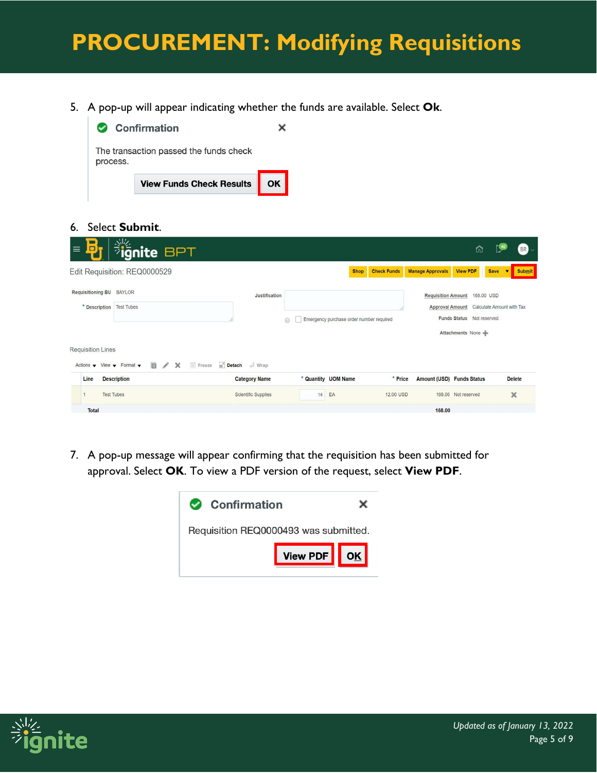5. A pop-up will appear indicating whether the funds are available. Select **Ok**.



#### 6. Select **Submit**.

| <b>Signite BPT</b><br>$\Box$<br>$\equiv$                                                               |                      |                                          |                    |                           | ⋒                                                                                                        | $BR$ $\sim$                                  |
|--------------------------------------------------------------------------------------------------------|----------------------|------------------------------------------|--------------------|---------------------------|----------------------------------------------------------------------------------------------------------|----------------------------------------------|
| Edit Requisition: REQ0000529                                                                           |                      | <b>Shop</b>                              | <b>Check Funds</b> | <b>Manage Approvals</b>   | <b>View PDF</b>                                                                                          | <b>Submit</b><br><b>Save</b><br>$\mathbf{v}$ |
| Requisitioning BU BAYLOR<br>* Description   Test Tubes                                                 | <b>Justification</b> | Emergency purchase order number required |                    | <b>Requisition Amount</b> | 168.00 USD<br>Approval Amount Calculate Amount with Tax<br>Funds Status Not reserved<br>Attachments None |                                              |
| <b>Requisition Lines</b><br>目<br>Actions $\bullet$ View $\bullet$ Format $\bullet$<br>$\chi$<br>Freeze | Detach Nrap          |                                          |                    |                           |                                                                                                          |                                              |
| Line<br><b>Description</b>                                                                             | <b>Category Name</b> | * Quantity UOM Name                      | * Price            | Amount (USD) Funds Status |                                                                                                          | <b>Delete</b>                                |
| <b>Test Tubes</b>                                                                                      | Scientific Supplies  | EA<br>14                                 | 12,00 USD          |                           | 168.00 Not reserved                                                                                      | $\times$                                     |
| <b>Total</b>                                                                                           |                      |                                          |                    | 168.00                    |                                                                                                          |                                              |

7. A pop-up message will appear confirming that the requisition has been submitted for approval. Select **OK**. To view a PDF version of the request, select **View PDF**.



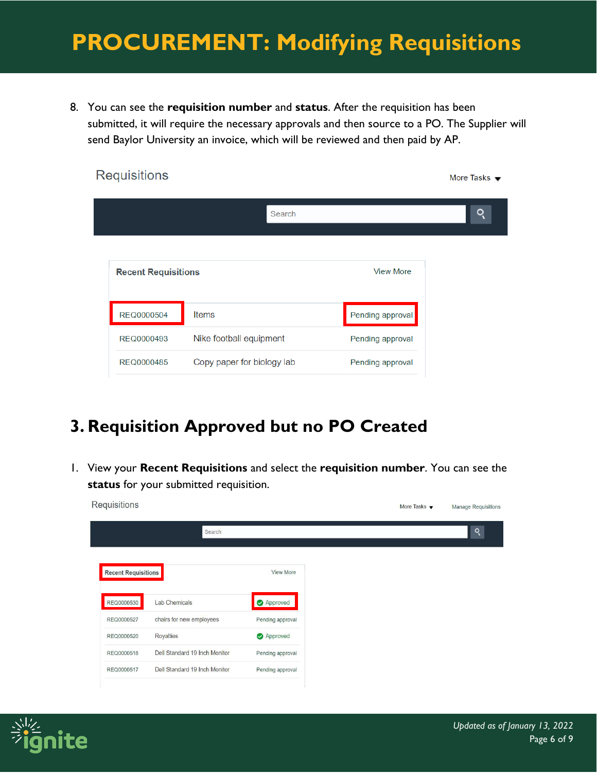8. You can see the **requisition number** and **status**. After the requisition has been submitted, it will require the necessary approvals and then source to a PO. The Supplier will send Baylor University an invoice, which will be reviewed and then paid by AP.

| <b>Requisitions</b>        |                            |                  | More Tasks $\bullet$ |
|----------------------------|----------------------------|------------------|----------------------|
|                            | Search                     |                  | o                    |
| <b>Recent Requisitions</b> |                            | <b>View More</b> |                      |
| REQ0000504                 | <b>Items</b>               | Pending approval |                      |
| REQ0000493                 | Nike football equipment    | Pending approval |                      |
| REQ0000485                 | Copy paper for biology lab | Pending approval |                      |

#### **3. Requisition Approved but no PO Created**

1. View your **Recent Requisitions** and select the **requisition number**. You can see the **status** for your submitted requisition.



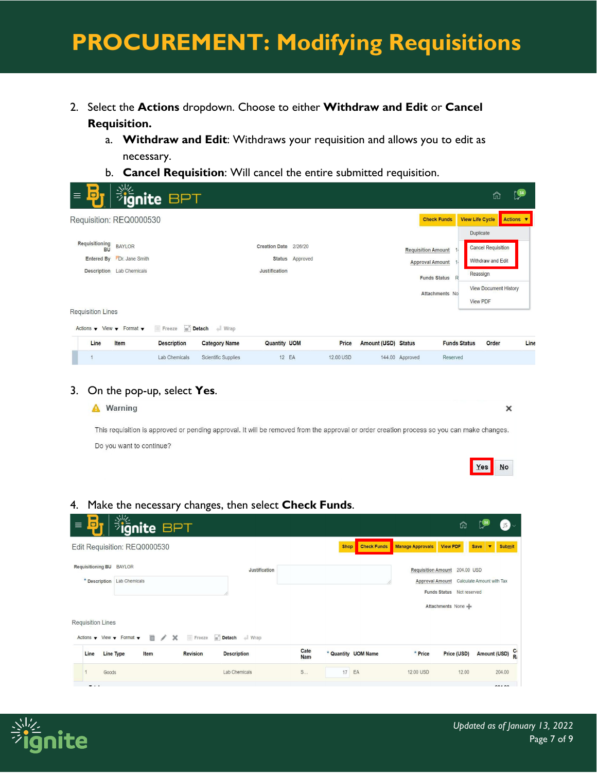- 2. Select the **Actions** dropdown. Choose to either **Withdraw and Edit** or **Cancel Requisition.**
	- a. **Withdraw and Edit**: Withdraws your requisition and allows you to edit as necessary.
	- b. **Cancel Requisition**: Will cancel the entire submitted requisition.

| $\blacksquare$<br>D<br>$\equiv$                                                                                                    | <b>BPT</b>                                    |                                                            |                                        |                 |                    |                            |                                                                            |                                 |                                            | 命                                                                              | $\int_{0}^{24}$ |
|------------------------------------------------------------------------------------------------------------------------------------|-----------------------------------------------|------------------------------------------------------------|----------------------------------------|-----------------|--------------------|----------------------------|----------------------------------------------------------------------------|---------------------------------|--------------------------------------------|--------------------------------------------------------------------------------|-----------------|
| Requisition: REQ0000530                                                                                                            |                                               |                                                            |                                        |                 |                    |                            | <b>Check Funds</b>                                                         |                                 | <b>View Life Cycle</b><br><b>Duplicate</b> |                                                                                | Actions ▼       |
| Requisitioning<br><b>BAYLOR</b><br><b>BU</b><br>Entered By Dr. Jane Smith<br>Description Lab Chemicals<br><b>Requisition Lines</b> |                                               |                                                            | Creation Date 2/26/20<br>Justification | Status Approved |                    |                            | <b>Requisition Amount</b><br><b>Approval Amount</b><br><b>Funds Status</b> | R<br>Attachments No             | Reassign<br>View PDF                       | <b>Cancel Requisition</b><br>Withdraw and Edit<br><b>View Document History</b> |                 |
| Actions $\bullet$ View $\bullet$ Format $\bullet$<br>Line<br>Item                                                                  | Freeze<br><b>Description</b><br>Lab Chemicals | Detach Nrap<br><b>Category Name</b><br>Scientific Supplies | <b>Quantity UOM</b><br>12 EA           |                 | Price<br>12.00 USD | <b>Amount (USD) Status</b> | 144.00 Approved                                                            | <b>Funds Status</b><br>Reserved |                                            | Order                                                                          | Line            |

#### 3. On the pop-up, select **Yes**.



#### 4. Make the necessary changes, then select **Check Funds**.

| □<br>$\equiv$                                     | ignite BPT                   |                 |                    |                    |             |                     |                         | ñ                                             |                                        | $JS \sim$      |
|---------------------------------------------------|------------------------------|-----------------|--------------------|--------------------|-------------|---------------------|-------------------------|-----------------------------------------------|----------------------------------------|----------------|
|                                                   | Edit Requisition: REQ0000530 |                 |                    |                    | <b>Shop</b> | <b>Check Funds</b>  | <b>Manage Approvals</b> | <b>View PDF</b>                               | <b>Save</b><br>$\overline{\mathbf{v}}$ | <b>Submit</b>  |
| <b>Requisitioning BU BAYLOR</b>                   |                              |                 | Justification      |                    |             |                     |                         | Requisition Amount 204.00 USD                 |                                        |                |
|                                                   | * Description Lab Chemicals  |                 |                    |                    |             |                     |                         | Approval Amount Calculate Amount with Tax     |                                        |                |
| <b>Requisition Lines</b>                          |                              |                 |                    |                    |             |                     |                         | Funds Status Not reserved<br>Attachments None |                                        |                |
| Actions $\bullet$ View $\bullet$ Format $\bullet$ | 目<br>$\prime$ x              | Freeze          | Detach Nrap        |                    |             |                     |                         |                                               |                                        |                |
| Line                                              | Line Type<br>Item            | <b>Revision</b> | <b>Description</b> | Cate<br><b>Nam</b> |             | * Quantity UOM Name | * Price                 | Price (USD)                                   |                                        | Amount (USD) R |
| Goods                                             |                              |                 | Lab Chemicals      | S                  | 17          | EA                  | 12.00 USD               | 12.00                                         |                                        | 204.00         |
| $\cdots$                                          |                              |                 |                    |                    |             |                     |                         |                                               |                                        | 0.100          |

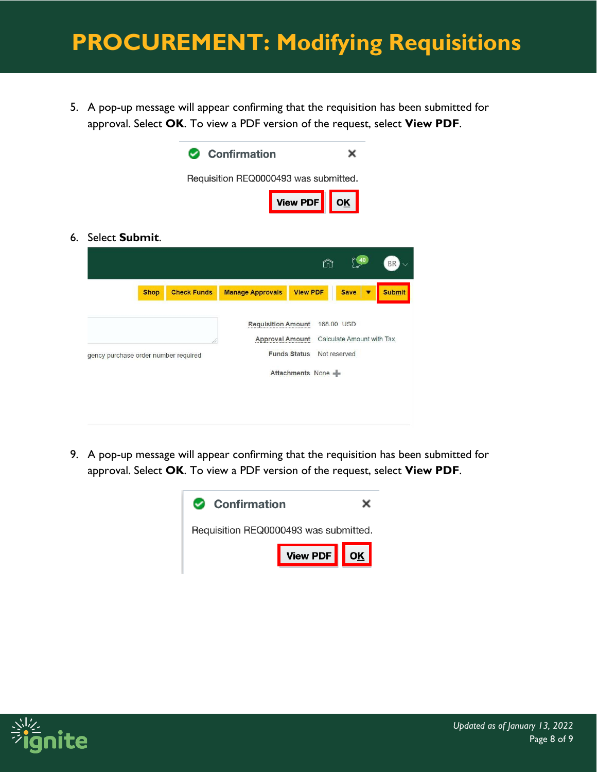5. A pop-up message will appear confirming that the requisition has been submitted for approval. Select **OK**. To view a PDF version of the request, select **View PDF**.



9. A pop-up message will appear confirming that the requisition has been submitted for approval. Select **OK**. To view a PDF version of the request, select **View PDF**.